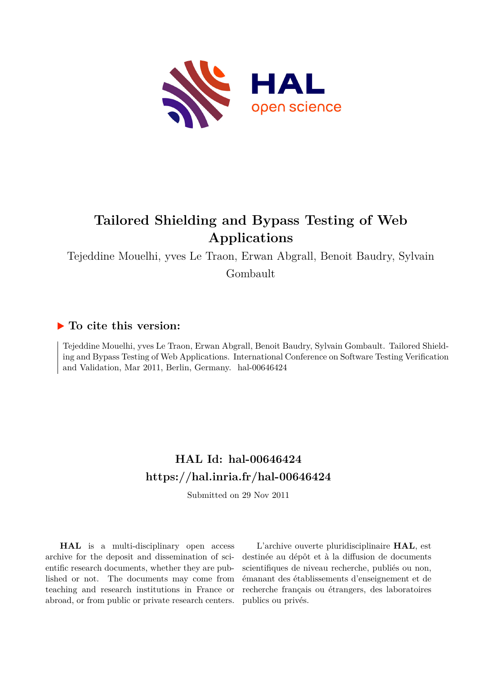

# **Tailored Shielding and Bypass Testing of Web Applications**

Tejeddine Mouelhi, yves Le Traon, Erwan Abgrall, Benoit Baudry, Sylvain

Gombault

## **To cite this version:**

Tejeddine Mouelhi, yves Le Traon, Erwan Abgrall, Benoit Baudry, Sylvain Gombault. Tailored Shielding and Bypass Testing of Web Applications. International Conference on Software Testing Verification and Validation, Mar 2011, Berlin, Germany. hal-00646424

## **HAL Id: hal-00646424 <https://hal.inria.fr/hal-00646424>**

Submitted on 29 Nov 2011

**HAL** is a multi-disciplinary open access archive for the deposit and dissemination of scientific research documents, whether they are published or not. The documents may come from teaching and research institutions in France or abroad, or from public or private research centers.

L'archive ouverte pluridisciplinaire **HAL**, est destinée au dépôt et à la diffusion de documents scientifiques de niveau recherche, publiés ou non, émanant des établissements d'enseignement et de recherche français ou étrangers, des laboratoires publics ou privés.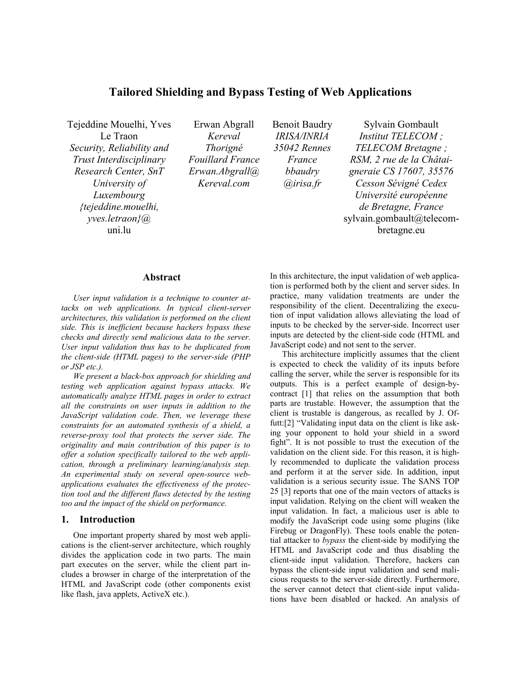## **Tailored Shielding and Bypass Testing of Web Applications**

Tejeddine Mouelhi, Yves Le Traon *Security, Reliability and Trust Interdisciplinary Research Center, SnT University of Luxembourg {tejeddine.mouelhi, yves.letraon}@*  uni.lu

Erwan Abgrall *Kereval Thorigné Fouillard France Erwan.Abgrall@ Kereval.com* 

Benoit Baudry *IRISA/INRIA 35042 Rennes France bbaudry @irisa.fr* 

Sylvain Gombault *Institut TELECOM ; TELECOM Bretagne ; RSM, 2 rue de la Châtaigneraie CS 17607, 35576 Cesson Sévigné Cedex Université européenne de Bretagne, France*  sylvain.gombault@telecombretagne.eu

#### **Abstract**

*User input validation is a technique to counter attacks on web applications. In typical client-server architectures, this validation is performed on the client side. This is inefficient because hackers bypass these checks and directly send malicious data to the server. User input validation thus has to be duplicated from the client-side (HTML pages) to the server-side (PHP or JSP etc.).* 

*We present a black-box approach for shielding and testing web application against bypass attacks. We automatically analyze HTML pages in order to extract all the constraints on user inputs in addition to the JavaScript validation code. Then, we leverage these constraints for an automated synthesis of a shield, a reverse-proxy tool that protects the server side. The originality and main contribution of this paper is to offer a solution specifically tailored to the web application, through a preliminary learning/analysis step. An experimental study on several open-source webapplications evaluates the effectiveness of the protection tool and the different flaws detected by the testing too and the impact of the shield on performance.* 

## **1. Introduction**

One important property shared by most web applications is the client-server architecture, which roughly divides the application code in two parts. The main part executes on the server, while the client part includes a browser in charge of the interpretation of the HTML and JavaScript code (other components exist like flash, java applets, ActiveX etc.).

In this architecture, the input validation of web application is performed both by the client and server sides. In practice, many validation treatments are under the responsibility of the client. Decentralizing the execution of input validation allows alleviating the load of inputs to be checked by the server-side. Incorrect user inputs are detected by the client-side code (HTML and JavaScript code) and not sent to the server.

This architecture implicitly assumes that the client is expected to check the validity of its inputs before calling the server, while the server is responsible for its outputs. This is a perfect example of design-bycontract [1] that relies on the assumption that both parts are trustable. However, the assumption that the client is trustable is dangerous, as recalled by J. Offutt:[2] "Validating input data on the client is like asking your opponent to hold your shield in a sword fight". It is not possible to trust the execution of the validation on the client side. For this reason, it is highly recommended to duplicate the validation process and perform it at the server side. In addition, input validation is a serious security issue. The SANS TOP 25 [3] reports that one of the main vectors of attacks is input validation. Relying on the client will weaken the input validation. In fact, a malicious user is able to modify the JavaScript code using some plugins (like Firebug or DragonFly). These tools enable the potential attacker to *bypass* the client-side by modifying the HTML and JavaScript code and thus disabling the client-side input validation. Therefore, hackers can bypass the client-side input validation and send malicious requests to the server-side directly. Furthermore, the server cannot detect that client-side input validations have been disabled or hacked. An analysis of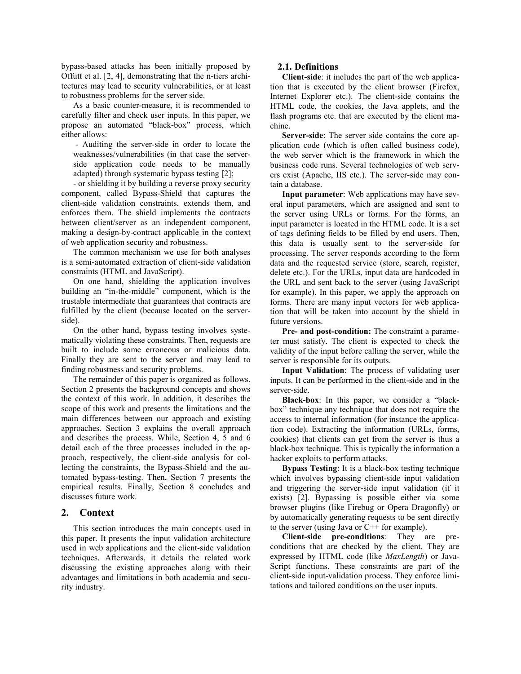bypass-based attacks has been initially proposed by Offutt et al. [2, 4], demonstrating that the n-tiers architectures may lead to security vulnerabilities, or at least to robustness problems for the server side.

As a basic counter-measure, it is recommended to carefully filter and check user inputs. In this paper, we propose an automated "black-box" process, which either allows:

 - Auditing the server-side in order to locate the weaknesses/vulnerabilities (in that case the serverside application code needs to be manually adapted) through systematic bypass testing [2];

- or shielding it by building a reverse proxy security component, called Bypass-Shield that captures the client-side validation constraints, extends them, and enforces them. The shield implements the contracts between client/server as an independent component, making a design-by-contract applicable in the context of web application security and robustness.

The common mechanism we use for both analyses is a semi-automated extraction of client-side validation constraints (HTML and JavaScript).

On one hand, shielding the application involves building an "in-the-middle" component, which is the trustable intermediate that guarantees that contracts are fulfilled by the client (because located on the serverside).

On the other hand, bypass testing involves systematically violating these constraints. Then, requests are built to include some erroneous or malicious data. Finally they are sent to the server and may lead to finding robustness and security problems.

The remainder of this paper is organized as follows. Section 2 presents the background concepts and shows the context of this work. In addition, it describes the scope of this work and presents the limitations and the main differences between our approach and existing approaches. Section 3 explains the overall approach and describes the process. While, Section 4, 5 and 6 detail each of the three processes included in the approach, respectively, the client-side analysis for collecting the constraints, the Bypass-Shield and the automated bypass-testing. Then, Section 7 presents the empirical results. Finally, Section 8 concludes and discusses future work.

#### **2. Context**

This section introduces the main concepts used in this paper. It presents the input validation architecture used in web applications and the client-side validation techniques. Afterwards, it details the related work discussing the existing approaches along with their advantages and limitations in both academia and security industry.

#### **2.1. Definitions**

**Client-side**: it includes the part of the web application that is executed by the client browser (Firefox, Internet Explorer etc.). The client-side contains the HTML code, the cookies, the Java applets, and the flash programs etc. that are executed by the client machine.

**Server-side**: The server side contains the core application code (which is often called business code), the web server which is the framework in which the business code runs. Several technologies of web servers exist (Apache, IIS etc.). The server-side may contain a database.

**Input parameter**: Web applications may have several input parameters, which are assigned and sent to the server using URLs or forms. For the forms, an input parameter is located in the HTML code. It is a set of tags defining fields to be filled by end users. Then, this data is usually sent to the server-side for processing. The server responds according to the form data and the requested service (store, search, register, delete etc.). For the URLs, input data are hardcoded in the URL and sent back to the server (using JavaScript for example). In this paper, we apply the approach on forms. There are many input vectors for web application that will be taken into account by the shield in future versions.

**Pre- and post-condition:** The constraint a parameter must satisfy. The client is expected to check the validity of the input before calling the server, while the server is responsible for its outputs.

**Input Validation**: The process of validating user inputs. It can be performed in the client-side and in the server-side.

**Black-box**: In this paper, we consider a "blackbox" technique any technique that does not require the access to internal information (for instance the application code). Extracting the information (URLs, forms, cookies) that clients can get from the server is thus a black-box technique. This is typically the information a hacker exploits to perform attacks.

**Bypass Testing**: It is a black-box testing technique which involves bypassing client-side input validation and triggering the server-side input validation (if it exists) [2]. Bypassing is possible either via some browser plugins (like Firebug or Opera Dragonfly) or by automatically generating requests to be sent directly to the server (using Java or  $C++$  for example).

**Client-side pre-conditions**: They are preconditions that are checked by the client. They are expressed by HTML code (like *MaxLength*) or Java-Script functions. These constraints are part of the client-side input-validation process. They enforce limitations and tailored conditions on the user inputs.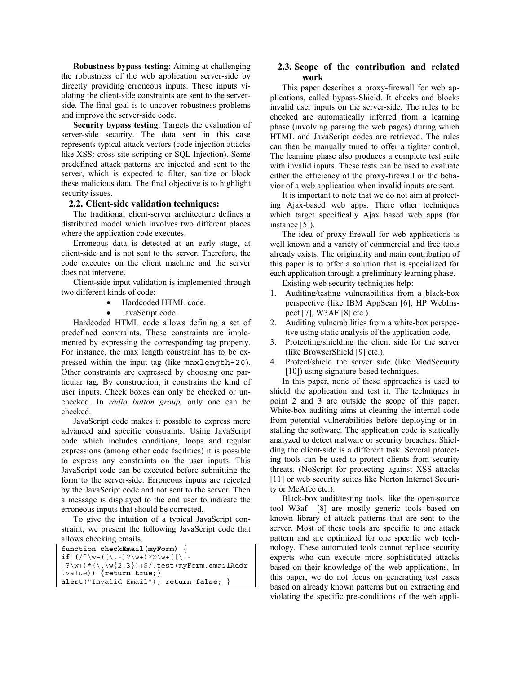**Robustness bypass testing**: Aiming at challenging the robustness of the web application server-side by directly providing erroneous inputs. These inputs violating the client-side constraints are sent to the serverside. The final goal is to uncover robustness problems and improve the server-side code.

**Security bypass testing**: Targets the evaluation of server-side security. The data sent in this case represents typical attack vectors (code injection attacks like XSS: cross-site-scripting or SQL Injection). Some predefined attack patterns are injected and sent to the server, which is expected to filter, sanitize or block these malicious data. The final objective is to highlight security issues.

#### **2.2. Client-side validation techniques:**

The traditional client-server architecture defines a distributed model which involves two different places where the application code executes.

Erroneous data is detected at an early stage, at client-side and is not sent to the server. Therefore, the code executes on the client machine and the server does not intervene.

Client-side input validation is implemented through two different kinds of code:

- Hardcoded HTML code.
- JavaScript code.

Hardcoded HTML code allows defining a set of predefined constraints. These constraints are implemented by expressing the corresponding tag property. For instance, the max length constraint has to be expressed within the input tag (like maxlength=20). Other constraints are expressed by choosing one particular tag. By construction, it constrains the kind of user inputs. Check boxes can only be checked or unchecked. In *radio button group,* only one can be checked.

JavaScript code makes it possible to express more advanced and specific constraints. Using JavaScript code which includes conditions, loops and regular expressions (among other code facilities) it is possible to express any constraints on the user inputs. This JavaScript code can be executed before submitting the form to the server-side. Erroneous inputs are rejected by the JavaScript code and not sent to the server. Then a message is displayed to the end user to indicate the erroneous inputs that should be corrected.

To give the intuition of a typical JavaScript constraint, we present the following JavaScript code that allows checking emails.

| function checkEmail (myForm) $\{$                                                                                                                    |
|------------------------------------------------------------------------------------------------------------------------------------------------------|
| if $\left( \frac{\wedge \w_+ (\lceil \cdot - \rceil ? \wedge w_+) * \mathbb{Q} \w_+ (\lceil \cdot - \cdot   \cdot \rceil)}{w_+ w_+ w_+ w_+} \right)$ |
| $] ? \w + ) * ( \, \we{2,3}) + $ / .test (myForm. emailAddr)$                                                                                        |
| .value)) $\{return true\}$                                                                                                                           |
| alert("Invalid Email"); return false; $\}$                                                                                                           |

#### **2.3. Scope of the contribution and related work**

This paper describes a proxy-firewall for web applications, called bypass-Shield. It checks and blocks invalid user inputs on the server-side. The rules to be checked are automatically inferred from a learning phase (involving parsing the web pages) during which HTML and JavaScript codes are retrieved. The rules can then be manually tuned to offer a tighter control. The learning phase also produces a complete test suite with invalid inputs. These tests can be used to evaluate either the efficiency of the proxy-firewall or the behavior of a web application when invalid inputs are sent.

It is important to note that we do not aim at protecting Ajax-based web apps. There other techniques which target specifically Ajax based web apps (for instance [5]).

The idea of proxy-firewall for web applications is well known and a variety of commercial and free tools already exists. The originality and main contribution of this paper is to offer a solution that is specialized for each application through a preliminary learning phase.

Existing web security techniques help:

- 1. Auditing/testing vulnerabilities from a black-box perspective (like IBM AppScan [6], HP WebInspect [7], W3AF [8] etc.).
- 2. Auditing vulnerabilities from a white-box perspective using static analysis of the application code.
- 3. Protecting/shielding the client side for the server (like BrowserShield [9] etc.).
- 4. Protect/shield the server side (like ModSecurity [10]) using signature-based techniques.

In this paper, none of these approaches is used to shield the application and test it. The techniques in point 2 and 3 are outside the scope of this paper. White-box auditing aims at cleaning the internal code from potential vulnerabilities before deploying or installing the software. The application code is statically analyzed to detect malware or security breaches. Shielding the client-side is a different task. Several protecting tools can be used to protect clients from security threats. (NoScript for protecting against XSS attacks [11] or web security suites like Norton Internet Security or McAfee etc.).

Black-box audit/testing tools, like the open-source tool W3af [8] are mostly generic tools based on known library of attack patterns that are sent to the server. Most of these tools are specific to one attack pattern and are optimized for one specific web technology. These automated tools cannot replace security experts who can execute more sophisticated attacks based on their knowledge of the web applications. In this paper, we do not focus on generating test cases based on already known patterns but on extracting and violating the specific pre-conditions of the web appli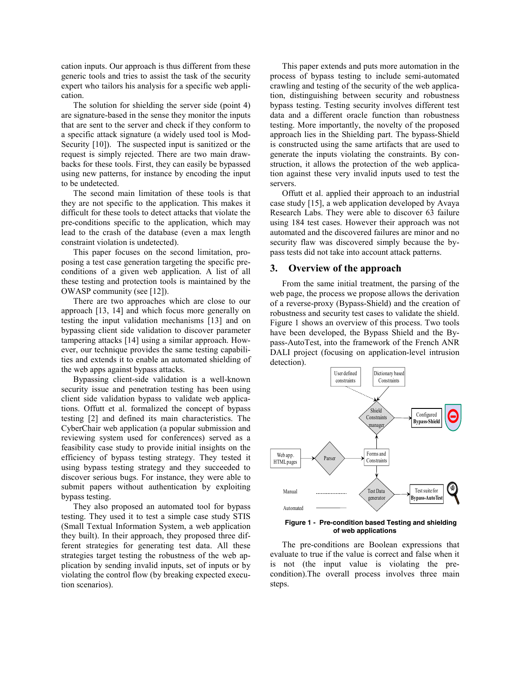cation inputs. Our approach is thus different from these generic tools and tries to assist the task of the security expert who tailors his analysis for a specific web application.

The solution for shielding the server side (point 4) are signature-based in the sense they monitor the inputs that are sent to the server and check if they conform to a specific attack signature (a widely used tool is Mod-Security [10]). The suspected input is sanitized or the request is simply rejected. There are two main drawbacks for these tools. First, they can easily be bypassed using new patterns, for instance by encoding the input to be undetected.

The second main limitation of these tools is that they are not specific to the application. This makes it difficult for these tools to detect attacks that violate the pre-conditions specific to the application, which may lead to the crash of the database (even a max length constraint violation is undetected).

This paper focuses on the second limitation, proposing a test case generation targeting the specific preconditions of a given web application. A list of all these testing and protection tools is maintained by the OWASP community (see [12]).

There are two approaches which are close to our approach [13, 14] and which focus more generally on testing the input validation mechanisms [13] and on bypassing client side validation to discover parameter tampering attacks [14] using a similar approach. However, our technique provides the same testing capabilities and extends it to enable an automated shielding of the web apps against bypass attacks.

Bypassing client-side validation is a well-known security issue and penetration testing has been using client side validation bypass to validate web applications. Offutt et al. formalized the concept of bypass testing [2] and defined its main characteristics. The CyberChair web application (a popular submission and reviewing system used for conferences) served as a feasibility case study to provide initial insights on the efficiency of bypass testing strategy. They tested it using bypass testing strategy and they succeeded to discover serious bugs. For instance, they were able to submit papers without authentication by exploiting bypass testing.

They also proposed an automated tool for bypass testing. They used it to test a simple case study STIS (Small Textual Information System, a web application they built). In their approach, they proposed three different strategies for generating test data. All these strategies target testing the robustness of the web application by sending invalid inputs, set of inputs or by violating the control flow (by breaking expected execution scenarios).

This paper extends and puts more automation in the process of bypass testing to include semi-automated crawling and testing of the security of the web application, distinguishing between security and robustness bypass testing. Testing security involves different test data and a different oracle function than robustness testing. More importantly, the novelty of the proposed approach lies in the Shielding part. The bypass-Shield is constructed using the same artifacts that are used to generate the inputs violating the constraints. By construction, it allows the protection of the web application against these very invalid inputs used to test the servers.

Offutt et al. applied their approach to an industrial case study [15], a web application developed by Avaya Research Labs. They were able to discover 63 failure using 184 test cases. However their approach was not automated and the discovered failures are minor and no security flaw was discovered simply because the bypass tests did not take into account attack patterns.

#### **3. Overview of the approach**

From the same initial treatment, the parsing of the web page, the process we propose allows the derivation of a reverse-proxy (Bypass-Shield) and the creation of robustness and security test cases to validate the shield. Figure 1 shows an overview of this process. Two tools have been developed, the Bypass Shield and the Bypass-AutoTest, into the framework of the French ANR DALI project (focusing on application-level intrusion detection).



#### **Figure 1 - Pre-condition based Testing and shielding of web applications**

The pre-conditions are Boolean expressions that evaluate to true if the value is correct and false when it is not (the input value is violating the precondition).The overall process involves three main steps.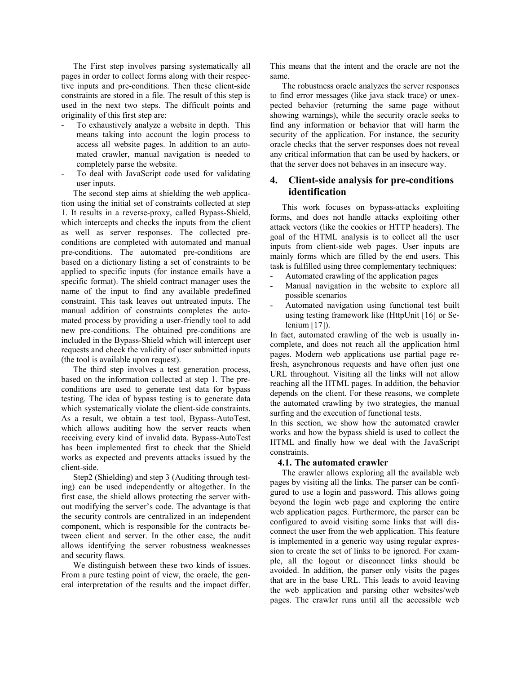The First step involves parsing systematically all pages in order to collect forms along with their respective inputs and pre-conditions. Then these client-side constraints are stored in a file. The result of this step is used in the next two steps. The difficult points and originality of this first step are:

- To exhaustively analyze a website in depth. This means taking into account the login process to access all website pages. In addition to an automated crawler, manual navigation is needed to completely parse the website.
- To deal with JavaScript code used for validating user inputs.

The second step aims at shielding the web application using the initial set of constraints collected at step 1. It results in a reverse-proxy, called Bypass-Shield, which intercepts and checks the inputs from the client as well as server responses. The collected preconditions are completed with automated and manual pre-conditions. The automated pre-conditions are based on a dictionary listing a set of constraints to be applied to specific inputs (for instance emails have a specific format). The shield contract manager uses the name of the input to find any available predefined constraint. This task leaves out untreated inputs. The manual addition of constraints completes the automated process by providing a user-friendly tool to add new pre-conditions. The obtained pre-conditions are included in the Bypass-Shield which will intercept user requests and check the validity of user submitted inputs (the tool is available upon request).

The third step involves a test generation process, based on the information collected at step 1. The preconditions are used to generate test data for bypass testing. The idea of bypass testing is to generate data which systematically violate the client-side constraints. As a result, we obtain a test tool, Bypass-AutoTest, which allows auditing how the server reacts when receiving every kind of invalid data. Bypass-AutoTest has been implemented first to check that the Shield works as expected and prevents attacks issued by the client-side.

Step2 (Shielding) and step 3 (Auditing through testing) can be used independently or altogether. In the first case, the shield allows protecting the server without modifying the server's code. The advantage is that the security controls are centralized in an independent component, which is responsible for the contracts between client and server. In the other case, the audit allows identifying the server robustness weaknesses and security flaws.

We distinguish between these two kinds of issues. From a pure testing point of view, the oracle, the general interpretation of the results and the impact differ. This means that the intent and the oracle are not the same.

The robustness oracle analyzes the server responses to find error messages (like java stack trace) or unexpected behavior (returning the same page without showing warnings), while the security oracle seeks to find any information or behavior that will harm the security of the application. For instance, the security oracle checks that the server responses does not reveal any critical information that can be used by hackers, or that the server does not behaves in an insecure way.

## **4. Client-side analysis for pre-conditions identification**

This work focuses on bypass-attacks exploiting forms, and does not handle attacks exploiting other attack vectors (like the cookies or HTTP headers). The goal of the HTML analysis is to collect all the user inputs from client-side web pages. User inputs are mainly forms which are filled by the end users. This task is fulfilled using three complementary techniques:

- Automated crawling of the application pages
- Manual navigation in the website to explore all possible scenarios
- Automated navigation using functional test built using testing framework like (HttpUnit [16] or Selenium [17]).

In fact, automated crawling of the web is usually incomplete, and does not reach all the application html pages. Modern web applications use partial page refresh, asynchronous requests and have often just one URL throughout. Visiting all the links will not allow reaching all the HTML pages. In addition, the behavior depends on the client. For these reasons, we complete the automated crawling by two strategies, the manual surfing and the execution of functional tests.

In this section, we show how the automated crawler works and how the bypass shield is used to collect the HTML and finally how we deal with the JavaScript constraints.

#### **4.1. The automated crawler**

The crawler allows exploring all the available web pages by visiting all the links. The parser can be configured to use a login and password. This allows going beyond the login web page and exploring the entire web application pages. Furthermore, the parser can be configured to avoid visiting some links that will disconnect the user from the web application. This feature is implemented in a generic way using regular expression to create the set of links to be ignored. For example, all the logout or disconnect links should be avoided. In addition, the parser only visits the pages that are in the base URL. This leads to avoid leaving the web application and parsing other websites/web pages. The crawler runs until all the accessible web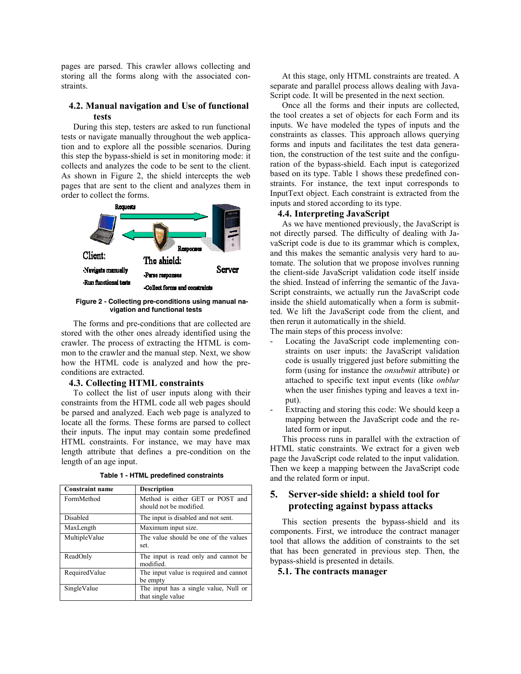pages are parsed. This crawler allows collecting and storing all the forms along with the associated constraints.

### **4.2. Manual navigation and Use of functional tests**

During this step, testers are asked to run functional tests or navigate manually throughout the web application and to explore all the possible scenarios. During this step the bypass-shield is set in monitoring mode: it collects and analyzes the code to be sent to the client. As shown in Figure 2, the shield intercepts the web pages that are sent to the client and analyzes them in order to collect the forms.



#### **Figure 2 - Collecting pre-conditions using manual navigation and functional tests**

The forms and pre-conditions that are collected are stored with the other ones already identified using the crawler. The process of extracting the HTML is common to the crawler and the manual step. Next, we show how the HTML code is analyzed and how the preconditions are extracted.

#### **4.3. Collecting HTML constraints**

To collect the list of user inputs along with their constraints from the HTML code all web pages should be parsed and analyzed. Each web page is analyzed to locate all the forms. These forms are parsed to collect their inputs. The input may contain some predefined HTML constraints. For instance, we may have max length attribute that defines a pre-condition on the length of an age input.

| <b>Constraint name</b> | <b>Description</b>                                          |  |
|------------------------|-------------------------------------------------------------|--|
| FormMethod             | Method is either GET or POST and<br>should not be modified. |  |
| Disabled               | The input is disabled and not sent.                         |  |
| MaxLength              | Maximum input size.                                         |  |
| MultipleValue          | The value should be one of the values<br>set.               |  |
| ReadOnly               | The input is read only and cannot be.<br>modified.          |  |
| RequiredValue          | The input value is required and cannot<br>be empty          |  |
| SingleValue            | The input has a single value, Null or<br>that single value  |  |

**Table 1 - HTML predefined constraints** 

At this stage, only HTML constraints are treated. A separate and parallel process allows dealing with Java-Script code. It will be presented in the next section.

Once all the forms and their inputs are collected, the tool creates a set of objects for each Form and its inputs. We have modeled the types of inputs and the constraints as classes. This approach allows querying forms and inputs and facilitates the test data generation, the construction of the test suite and the configuration of the bypass-shield. Each input is categorized based on its type. Table 1 shows these predefined constraints. For instance, the text input corresponds to InputText object. Each constraint is extracted from the inputs and stored according to its type.

#### **4.4. Interpreting JavaScript**

As we have mentioned previously, the JavaScript is not directly parsed. The difficulty of dealing with JavaScript code is due to its grammar which is complex, and this makes the semantic analysis very hard to automate. The solution that we propose involves running the client-side JavaScript validation code itself inside the shied. Instead of inferring the semantic of the Java-Script constraints, we actually run the JavaScript code inside the shield automatically when a form is submitted. We lift the JavaScript code from the client, and then rerun it automatically in the shield.

The main steps of this process involve:

- Locating the JavaScript code implementing constraints on user inputs: the JavaScript validation code is usually triggered just before submitting the form (using for instance the *onsubmit* attribute) or attached to specific text input events (like *onblur*  when the user finishes typing and leaves a text input).
- Extracting and storing this code: We should keep a mapping between the JavaScript code and the related form or input.

This process runs in parallel with the extraction of HTML static constraints. We extract for a given web page the JavaScript code related to the input validation. Then we keep a mapping between the JavaScript code and the related form or input.

## **5. Server-side shield: a shield tool for protecting against bypass attacks**

This section presents the bypass-shield and its components. First, we introduce the contract manager tool that allows the addition of constraints to the set that has been generated in previous step. Then, the bypass-shield is presented in details.

**5.1. The contracts manager**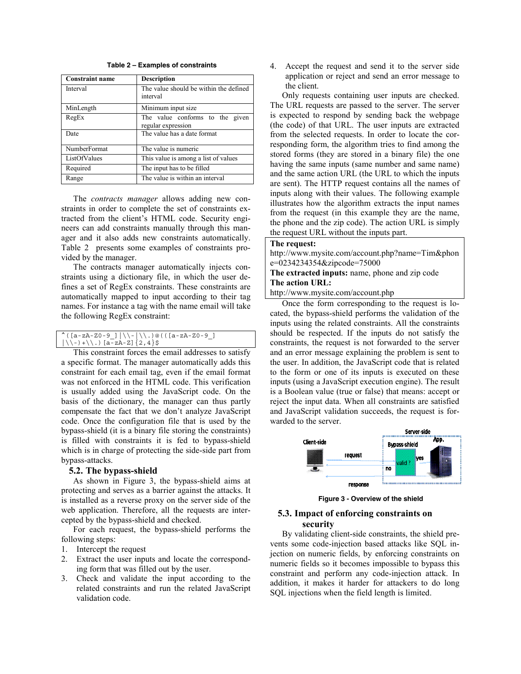| Table 2 – Examples of constraints |  |  |  |  |
|-----------------------------------|--|--|--|--|
|-----------------------------------|--|--|--|--|

| <b>Constraint name</b> | <b>Description</b>                                    |  |  |
|------------------------|-------------------------------------------------------|--|--|
| Interval               | The value should be within the defined<br>interval    |  |  |
| MinLength              | Minimum input size                                    |  |  |
| RegEx                  | The value conforms to the given<br>regular expression |  |  |
| Date                   | The value has a date format                           |  |  |
| NumberFormat           | The value is numeric                                  |  |  |
| ListOfValues           | This value is among a list of values                  |  |  |
| Required               | The input has to be filled                            |  |  |
| Range                  | The value is within an interval                       |  |  |

The *contracts manager* allows adding new constraints in order to complete the set of constraints extracted from the client's HTML code. Security engineers can add constraints manually through this manager and it also adds new constraints automatically. Table 2 presents some examples of constraints provided by the manager.

The contracts manager automatically injects constraints using a dictionary file, in which the user defines a set of RegEx constraints. These constraints are automatically mapped to input according to their tag names. For instance a tag with the name email will take the following RegEx constraint:

|                                                                                 | $^($ ([a-zA-Z0-9_] $ \ \$ -   \) @ ( ([a-zA-Z0-9_] |
|---------------------------------------------------------------------------------|----------------------------------------------------|
| $\left( \setminus \{-\} + \setminus \setminus . \right)$ [a-zA-Z] $\{2, 4\}$ \$ |                                                    |

This constraint forces the email addresses to satisfy a specific format. The manager automatically adds this constraint for each email tag, even if the email format was not enforced in the HTML code. This verification is usually added using the JavaScript code. On the basis of the dictionary, the manager can thus partly compensate the fact that we don't analyze JavaScript code. Once the configuration file that is used by the bypass-shield (it is a binary file storing the constraints) is filled with constraints it is fed to bypass-shield which is in charge of protecting the side-side part from bypass-attacks.

#### **5.2. The bypass-shield**

As shown in Figure 3, the bypass-shield aims at protecting and serves as a barrier against the attacks. It is installed as a reverse proxy on the server side of the web application. Therefore, all the requests are intercepted by the bypass-shield and checked.

For each request, the bypass-shield performs the following steps:

- 1. Intercept the request
- 2. Extract the user inputs and locate the corresponding form that was filled out by the user.
- 3. Check and validate the input according to the related constraints and run the related JavaScript validation code.

4. Accept the request and send it to the server side application or reject and send an error message to the client.

Only requests containing user inputs are checked. The URL requests are passed to the server. The server is expected to respond by sending back the webpage (the code) of that URL. The user inputs are extracted from the selected requests. In order to locate the corresponding form, the algorithm tries to find among the stored forms (they are stored in a binary file) the one having the same inputs (same number and same name) and the same action URL (the URL to which the inputs are sent). The HTTP request contains all the names of inputs along with their values. The following example illustrates how the algorithm extracts the input names from the request (in this example they are the name, the phone and the zip code). The action URL is simply the request URL without the inputs part.

#### **The request:**

http://www.mysite.com/account.php?name=Tim&phon e=0234234354&zipcode=75000

**The extracted inputs:** name, phone and zip code **The action URL:**

http://www.mysite.com/account.php

Once the form corresponding to the request is located, the bypass-shield performs the validation of the inputs using the related constraints. All the constraints should be respected. If the inputs do not satisfy the constraints, the request is not forwarded to the server and an error message explaining the problem is sent to the user. In addition, the JavaScript code that is related to the form or one of its inputs is executed on these inputs (using a JavaScript execution engine). The result is a Boolean value (true or false) that means: accept or reject the input data. When all constraints are satisfied and JavaScript validation succeeds, the request is forwarded to the server.



**Figure 3 - Overview of the shield** 

#### **5.3. Impact of enforcing constraints on security**

By validating client-side constraints, the shield prevents some code-injection based attacks like SQL injection on numeric fields, by enforcing constraints on numeric fields so it becomes impossible to bypass this constraint and perform any code-injection attack. In addition, it makes it harder for attackers to do long SQL injections when the field length is limited.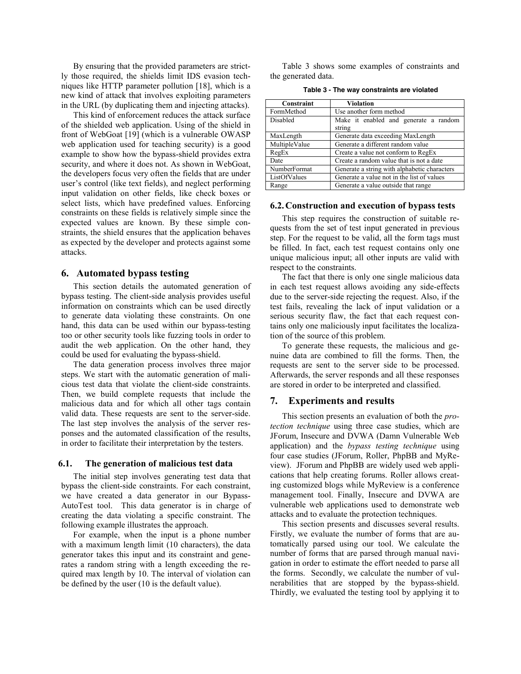By ensuring that the provided parameters are strictly those required, the shields limit IDS evasion techniques like HTTP parameter pollution [18], which is a new kind of attack that involves exploiting parameters in the URL (by duplicating them and injecting attacks).

This kind of enforcement reduces the attack surface of the shielded web application. Using of the shield in front of WebGoat [19] (which is a vulnerable OWASP web application used for teaching security) is a good example to show how the bypass-shield provides extra security, and where it does not. As shown in WebGoat, the developers focus very often the fields that are under user's control (like text fields), and neglect performing input validation on other fields, like check boxes or select lists, which have predefined values. Enforcing constraints on these fields is relatively simple since the expected values are known. By these simple constraints, the shield ensures that the application behaves as expected by the developer and protects against some attacks.

#### **6. Automated bypass testing**

This section details the automated generation of bypass testing. The client-side analysis provides useful information on constraints which can be used directly to generate data violating these constraints. On one hand, this data can be used within our bypass-testing too or other security tools like fuzzing tools in order to audit the web application. On the other hand, they could be used for evaluating the bypass-shield.

The data generation process involves three major steps. We start with the automatic generation of malicious test data that violate the client-side constraints. Then, we build complete requests that include the malicious data and for which all other tags contain valid data. These requests are sent to the server-side. The last step involves the analysis of the server responses and the automated classification of the results, in order to facilitate their interpretation by the testers.

#### **6.1. The generation of malicious test data**

The initial step involves generating test data that bypass the client-side constraints. For each constraint, we have created a data generator in our Bypass-AutoTest tool. This data generator is in charge of creating the data violating a specific constraint. The following example illustrates the approach.

For example, when the input is a phone number with a maximum length limit (10 characters), the data generator takes this input and its constraint and generates a random string with a length exceeding the required max length by 10. The interval of violation can be defined by the user (10 is the default value).

Table 3 shows some examples of constraints and the generated data.

|  |  |  | Table 3 - The way constraints are violated |
|--|--|--|--------------------------------------------|
|--|--|--|--------------------------------------------|

| Constraint    | Violation                                       |  |  |
|---------------|-------------------------------------------------|--|--|
| FormMethod    | Use another form method                         |  |  |
| Disabled      | Make it enabled and generate a random<br>string |  |  |
|               |                                                 |  |  |
| MaxLength     | Generate data exceeding MaxLength               |  |  |
| MultipleValue | Generate a different random value               |  |  |
| RegEx         | Create a value not conform to RegEx             |  |  |
| Date          | Create a random value that is not a date        |  |  |
| NumberFormat  | Generate a string with alphabetic characters    |  |  |
| ListOfValues  | Generate a value not in the list of values      |  |  |
| Range         | Generate a value outside that range             |  |  |

#### **6.2.Construction and execution of bypass tests**

This step requires the construction of suitable requests from the set of test input generated in previous step. For the request to be valid, all the form tags must be filled. In fact, each test request contains only one unique malicious input; all other inputs are valid with respect to the constraints.

The fact that there is only one single malicious data in each test request allows avoiding any side-effects due to the server-side rejecting the request. Also, if the test fails, revealing the lack of input validation or a serious security flaw, the fact that each request contains only one maliciously input facilitates the localization of the source of this problem.

To generate these requests, the malicious and genuine data are combined to fill the forms. Then, the requests are sent to the server side to be processed. Afterwards, the server responds and all these responses are stored in order to be interpreted and classified.

#### **7. Experiments and results**

This section presents an evaluation of both the *protection technique* using three case studies, which are JForum, Insecure and DVWA (Damn Vulnerable Web application) and the *bypass testing technique* using four case studies (JForum, Roller, PhpBB and MyReview). JForum and PhpBB are widely used web applications that help creating forums. Roller allows creating customized blogs while MyReview is a conference management tool. Finally, Insecure and DVWA are vulnerable web applications used to demonstrate web attacks and to evaluate the protection techniques.

This section presents and discusses several results. Firstly, we evaluate the number of forms that are automatically parsed using our tool. We calculate the number of forms that are parsed through manual navigation in order to estimate the effort needed to parse all the forms. Secondly, we calculate the number of vulnerabilities that are stopped by the bypass-shield. Thirdly, we evaluated the testing tool by applying it to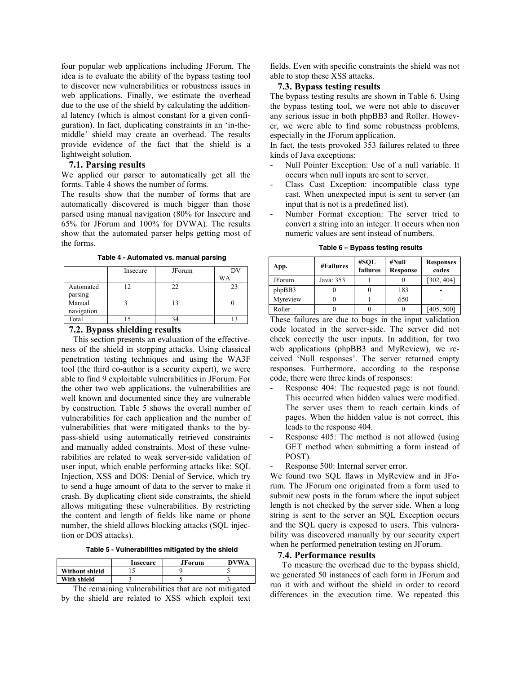four popular web applications including JForum. The idea is to evaluate the ability of the bypass testing tool to discover new vulnerabilities or robustness issues in web applications. Finally, we estimate the overhead due to the use of the shield by calculating the additional latency (which is almost constant for a given configuration). In fact, duplicating constraints in an 'in-themiddle' shield may create an overhead. The results provide evidence of the fact that the shield is a lightweight solution.

#### **7.1. Parsing results**

We applied our parser to automatically get all the forms. Table 4 shows the number of forms.

The results show that the number of forms that are automatically discovered is much bigger than those parsed using manual navigation (80% for Insecure and 65% for JForum and 100% for DVWA). The results show that the automated parser helps getting most of the forms.

|                          | Insecure  | JForum | DV |
|--------------------------|-----------|--------|----|
|                          |           |        | WA |
| Automated                | 12        | 22.    | 23 |
| parsing                  |           |        |    |
| Manual                   |           |        |    |
| navigation               |           |        |    |
| Total                    |           |        |    |
| $\overline{\phantom{a}}$ | - - - - - | $-$    |    |

**Table 4 - Automated vs. manual parsing** 

#### **7.2. Bypass shielding results**

This section presents an evaluation of the effectiveness of the shield in stopping attacks. Using classical penetration testing techniques and using the WA3F tool (the third co-author is a security expert), we were able to find 9 exploitable vulnerabilities in JForum. For the other two web applications, the vulnerabilities are well known and documented since they are vulnerable by construction. Table 5 shows the overall number of vulnerabilities for each application and the number of vulnerabilities that were mitigated thanks to the bypass-shield using automatically retrieved constraints and manually added constraints. Most of these vulnerabilities are related to weak server-side validation of user input, which enable performing attacks like: SQL Injection, XSS and DOS: Denial of Service, which try to send a huge amount of data to the server to make it crash. By duplicating client side constraints, the shield allows mitigating these vulnerabilities. By restricting the content and length of fields like name or phone number, the shield allows blocking attacks (SQL injection or DOS attacks).

**Table 5 - Vulnerabilities mitigated by the shield** 

|                       | Insecure | JForum | <b>DVWA</b> |
|-----------------------|----------|--------|-------------|
| <b>Without shield</b> |          |        |             |
| With shield           |          |        |             |
| --                    | .  .     | . .    | . .         |

The remaining vulnerabilities that are not mitigated by the shield are related to XSS which exploit text fields. Even with specific constraints the shield was not able to stop these XSS attacks.

#### **7.3. Bypass testing results**

The bypass testing results are shown in Table 6. Using the bypass testing tool, we were not able to discover any serious issue in both phpBB3 and Roller. However, we were able to find some robustness problems, especially in the JForum application.

In fact, the tests provoked 353 failures related to three kinds of Java exceptions:

- Null Pointer Exception: Use of a null variable. It occurs when null inputs are sent to server.
- Class Cast Exception: incompatible class type cast. When unexpected input is sent to server (an input that is not is a predefined list).
- Number Format exception: The server tried to convert a string into an integer. It occurs when non numeric values are sent instead of numbers.

**Table 6 – Bypass testing results** 

| App.           | <b>#Failures</b> | #SOL<br>failures | #Null<br><b>Response</b> | <b>Responses</b><br>codes |
|----------------|------------------|------------------|--------------------------|---------------------------|
| <b>JF</b> orum | Java: 353        |                  |                          | [302, 404]                |
| phpBB3         |                  |                  | 183                      |                           |
| Myreview       |                  |                  | 650                      |                           |
| Roller         |                  |                  |                          | [405, 500]                |

These failures are due to bugs in the input validation code located in the server-side. The server did not check correctly the user inputs. In addition, for two web applications (phpBB3 and MyReview), we received 'Null responses'. The server returned empty responses. Furthermore, according to the response code, there were three kinds of responses:

- Response 404: The requested page is not found. This occurred when hidden values were modified. The server uses them to reach certain kinds of pages. When the hidden value is not correct, this leads to the response 404.
- Response 405: The method is not allowed (using GET method when submitting a form instead of POST).
- Response 500: Internal server error.

We found two SQL flaws in MyReview and in JForum. The JForum one originated from a form used to submit new posts in the forum where the input subject length is not checked by the server side. When a long string is sent to the server an SQL Exception occurs and the SQL query is exposed to users. This vulnerability was discovered manually by our security expert when he performed penetration testing on JForum.

#### **7.4. Performance results**

To measure the overhead due to the bypass shield, we generated 50 instances of each form in JForum and run it with and without the shield in order to record differences in the execution time. We repeated this